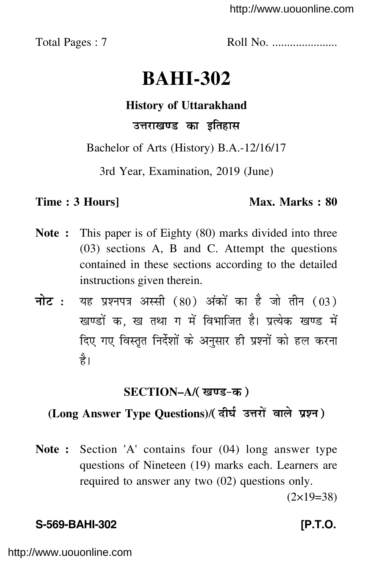<http://www.uouonline.com>

Total Pages : 7 Roll No. ......................

# **BAHI-302**

# **History of Uttarakhand** उत्तराखण्ड का इतिहास

Bachelor of Arts (History) B.A.-12/16/17

3rd Year, Examination, 2019 (June)

# **Time : 3 Hours]** Max. Marks : 80

- **Note :** This paper is of Eighty (80) marks divided into three (03) sections A, B and C. Attempt the questions contained in these sections according to the detailed instructions given therein.
- नोट : यह प्रश्नपत्र अस्सी (80) अंकों का है जो तीन (03) खण्डों क, ख तथा ग में विभाजित है। प्रत्येक खण्ड में दिए गए विस्तृत निर्दे<mark>शों के अनुसार ही प्रश्नों को हल करना</mark> है।

# **SECTION–A/**

# (Long Answer Type Questions)/( दीर्घ उत्तरों वाले प्रश्न )

**Note :** Section 'A' contains four (04) long answer type questions of Nineteen (19) marks each. Learners are required to answer any two (02) questions only.  $(2\times19=38)$ 

# **S-569-BAHI-302 [P.T.O.**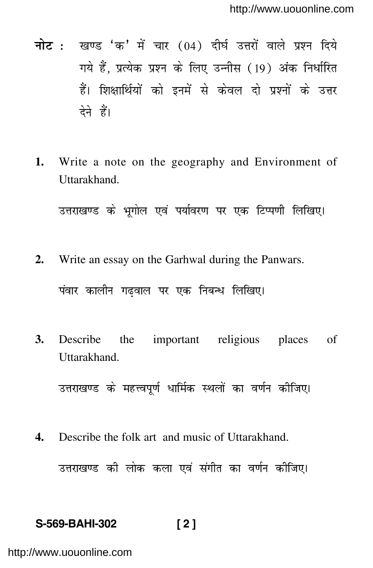- **नोट:** खण्ड 'क' में चार (04) दीर्घ उत्तरों वाले प्रश्न दिये गये हैं. प्रत्येक प्रश्न के लिए उन्नीस (19) अंक निर्धारित हैं। शिक्षार्थियों को इनमें से केवल दो प्रश्नों के उत्तर देने हैं।
- Write a note on the geography and Environment of 1. Uttarakhand.

उत्तराखण्ड के भृगोल एवं पर्यावरण पर एक टिप्पणी लिखिए।

- Write an essay on the Garhwal during the Panwars.  $2.$ पंवार कालीन गढ़वाल पर एक निबन्ध लिखिए।
- 3. Describe the important religious places of Uttarakhand.

उत्तराखण्ड के महत्त्वपूर्ण धार्मिक स्थलों का वर्णन कीजिए।

 $\overline{4}$ . Describe the folk art and music of Uttarakhand.

उत्तराखण्ड की लोक कला एवं संगीत का वर्णन कीजिए।

### S-569-BAHI-302  $\sqrt{2}$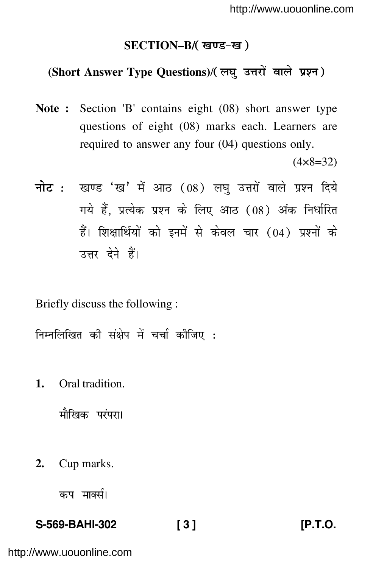## **SECTION–B/**

# (Short Answer Type Questions)/( लघु उत्तरों वाले प्रश्न )

**Note :** Section 'B' contains eight (08) short answer type questions of eight (08) marks each. Learners are required to answer any four (04) questions only.

 $(4 \times 8 = 32)$ 

<mark>नोट</mark> : खण्ड 'ख' में आठ (08) लघु उत्तरों वाले प्रश्न दिये गये हैं, प्रत्येक प्रश्न के लिए आठ (08) अंक निर्धारित हैं। शिक्षार्थियों को इनमें से केवल चार (04) प्रश्नों के उत्तर देने हैं।

Briefly discuss the following :

निम्नलिखित की संक्षेप में चर्चा कीजिए <mark>:</mark>

**1.** Oral tradition.

मौखिक परंपरा।

**2.** Cup marks.

कप मार्क्स।

# **S-569-BAHI-302 [ 3 ] [P.T.O.**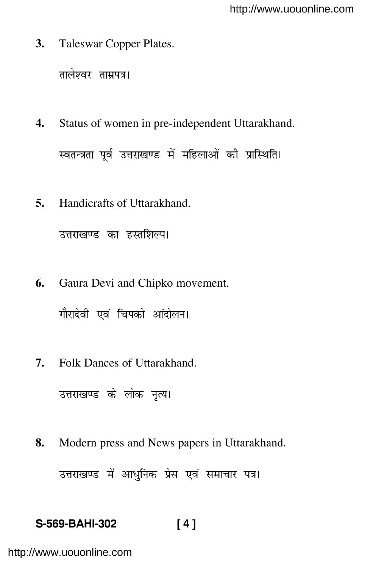**3.** Taleswar Copper Plates.

तालेश्वर ताम्रपत्र।

**4.** Status of women in pre-independent Uttarakhand.

स्वतन्त्रता–पूर्व उत्तराखण्ड में महिलाओं की प्रास्थिति।

**5.** Handicrafts of Uttarakhand.

उत्तराखण्ड का हस्तशिल्प।

- **6.** Gaura Devi and Chipko movement. गौरादेवी एवं चिपको आंदोलन।
- **7.** Folk Dances of Uttarakhand.

```
उत्तराखण्ड के लोक नृत्य।
```
**8.** Modern press and News papers in Uttarakhand.

उत्तराखण्ड में आधुनिक प्रेस एवं समाचार पत्र।

# **S-569-BAHI-302 [ 4 ]**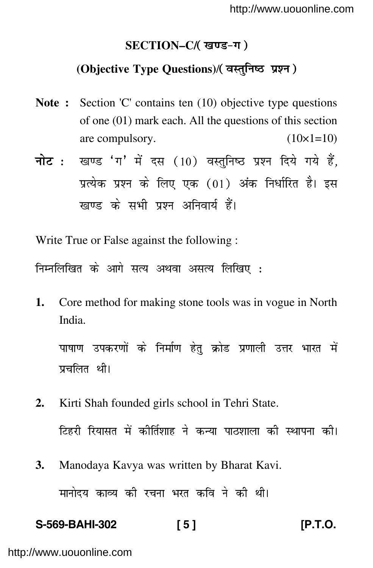## **SECTION–C/**

# (Objective Type Questions)/(वस्तुनिष्ठ प्रश्न)

- **Note :** Section 'C' contains ten (10) objective type questions of one (01) mark each. All the questions of this section are compulsory.  $(10\times1=10)$
- <mark>नोट</mark> : खण्ड 'ग' में दस (10) वस्तुनिष्ठ प्रश्न दिये गये हैं, प्रत्येक प्रश्न के लिए एक (01) अंक निर्धारित है। इस खण्ड के सभी प्रश्न अनिवार्य हैं।

Write True or False against the following :

निम्नलिखित के आगे सत्य अथवा असत्य लिखिए :

**1.** Core method for making stone tools was in vogue in North India.

पाषाण उपकरणों के निर्माण हेतु क्रोड प्रणाली उत्तर भारत में प्रचलित थी।

- **2.** Kirti Shah founded girls school in Tehri State. टिहरी रियासत में कीर्तिशाह ने कन्या पाठशाला की स्थापना की।
- **3.** Manodaya Kavya was written by Bharat Kavi. मानोदय काव्य की रचना भरत कवि ने की थी।

# **S-569-BAHI-302 [ 5 ] [P.T.O.**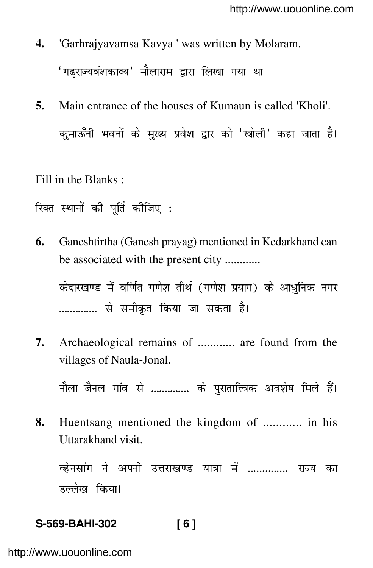- **4.** 'Garhrajyavamsa Kavya ' was written by Molaram. 'गढ्राज्यवंशकाव्य' मौलाराम द्वारा लिखा गया था।
- **5.** Main entrance of the houses of Kumaun is called 'Kholi'. कुमाऊँनी भवनों के मुख्य प्रवेश द्वार को 'खोली' कहा जाता है।

Fill in the Blanks :

रिक्त स्थानों की पूर्ति कीजिए **:** 

**6.** Ganeshtirtha (Ganesh prayag) mentioned in Kedarkhand can be associated with the present city ............

केदारखण्ड में वर्णित गणेश तीर्थ (गणेश प्रयाग) के आधुनिक नगर ............. से समीकृत किया जा सकता है।

**7.** Archaeological remains of ............ are found from the villages of Naula-Jonal.

नौला–जैनल गांव से .............. के पुरातात्त्विक अवशेष मिले हैं।

**8.** Huentsang mentioned the kingdom of ............ in his Uttarakhand visit.

व्हेनसांग ने अपनी उत्तराखण्ड यात्रा में .............. राज्य का उल्लेख किया।

# **S-569-BAHI-302 [ 6 ]**